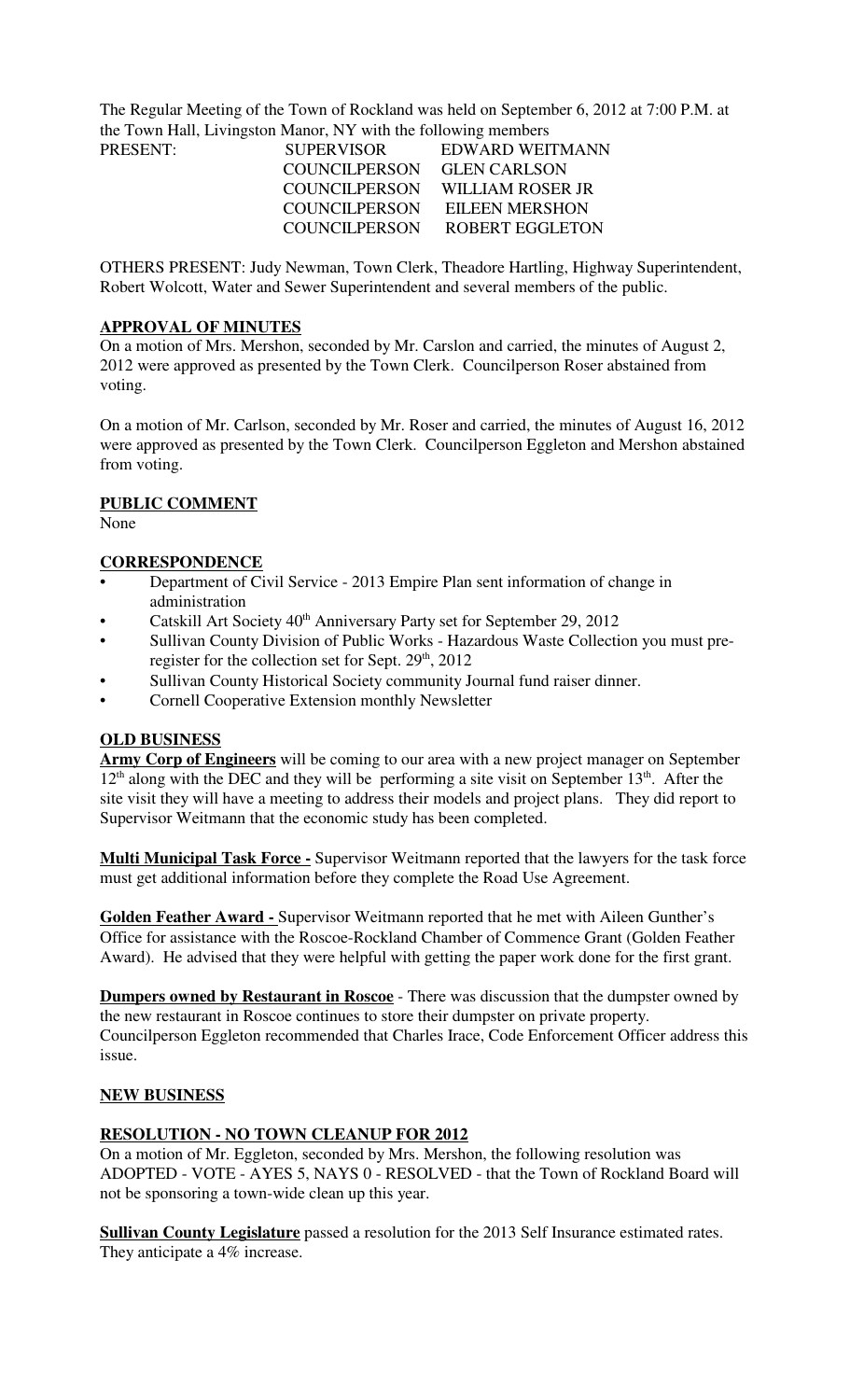The Regular Meeting of the Town of Rockland was held on September 6, 2012 at 7:00 P.M. at the Town Hall, Livingston Manor, NY with the following members

| PRESENT: |  | <b>SUPERVISOR</b> | EDWARD WEITMANN                |
|----------|--|-------------------|--------------------------------|
|          |  | COUNCILPERSON     | <b>GLEN CARLSON</b>            |
|          |  |                   | COUNCILPERSON WILLIAM ROSER JR |
|          |  | COUNCILPERSON     | <b>EILEEN MERSHON</b>          |
|          |  | COUNCILPERSON     | ROBERT EGGLETON                |

OTHERS PRESENT: Judy Newman, Town Clerk, Theadore Hartling, Highway Superintendent, Robert Wolcott, Water and Sewer Superintendent and several members of the public.

#### **APPROVAL OF MINUTES**

On a motion of Mrs. Mershon, seconded by Mr. Carslon and carried, the minutes of August 2, 2012 were approved as presented by the Town Clerk. Councilperson Roser abstained from voting.

On a motion of Mr. Carlson, seconded by Mr. Roser and carried, the minutes of August 16, 2012 were approved as presented by the Town Clerk. Councilperson Eggleton and Mershon abstained from voting.

## **PUBLIC COMMENT**

None

## **CORRESPONDENCE**

- Department of Civil Service 2013 Empire Plan sent information of change in administration
- Catskill Art Society 40<sup>th</sup> Anniversary Party set for September 29, 2012
- Sullivan County Division of Public Works Hazardous Waste Collection you must preregister for the collection set for Sept. 29<sup>th</sup>, 2012
- Sullivan County Historical Society community Journal fund raiser dinner.
- Cornell Cooperative Extension monthly Newsletter

## **OLD BUSINESS**

**Army Corp of Engineers** will be coming to our area with a new project manager on September  $12<sup>th</sup>$  along with the DEC and they will be performing a site visit on September  $13<sup>th</sup>$ . After the site visit they will have a meeting to address their models and project plans. They did report to Supervisor Weitmann that the economic study has been completed.

**Multi Municipal Task Force -** Supervisor Weitmann reported that the lawyers for the task force must get additional information before they complete the Road Use Agreement.

**Golden Feather Award -** Supervisor Weitmann reported that he met with Aileen Gunther's Office for assistance with the Roscoe-Rockland Chamber of Commence Grant (Golden Feather Award). He advised that they were helpful with getting the paper work done for the first grant.

**Dumpers owned by Restaurant in Roscoe** - There was discussion that the dumpster owned by the new restaurant in Roscoe continues to store their dumpster on private property. Councilperson Eggleton recommended that Charles Irace, Code Enforcement Officer address this issue.

## **NEW BUSINESS**

## **RESOLUTION - NO TOWN CLEANUP FOR 2012**

On a motion of Mr. Eggleton, seconded by Mrs. Mershon, the following resolution was ADOPTED - VOTE - AYES 5, NAYS 0 - RESOLVED - that the Town of Rockland Board will not be sponsoring a town-wide clean up this year.

**Sullivan County Legislature** passed a resolution for the 2013 Self Insurance estimated rates. They anticipate a 4% increase.